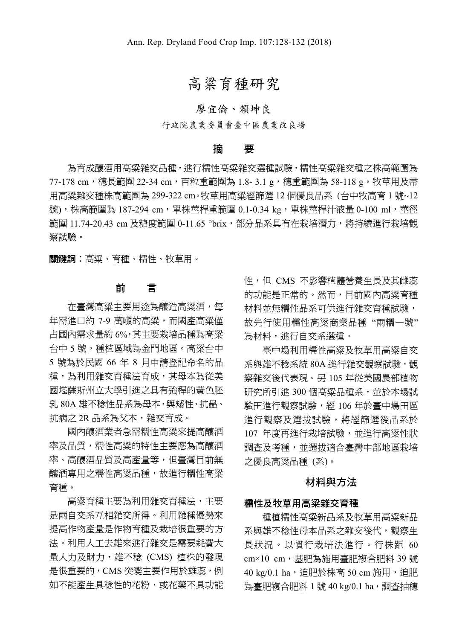## 高粱育種研究

## 廖宜倫、賴坤良

行政院農業委員會臺中區農業改良場

## 摘 要

為育成釀酒用高粱雜交品種,進行糯性高粱雜交選種試驗,糯性高粱雜交種之株高範圍為 77-178 cm, 穗長範圍 22-34 cm, 百粒重範圍為 1.8- 3.1 g, 穗重範圍為 58-118 g。牧草用及帚 用高粱雜交種株高範圍為 299-322 cm。牧草用高粱經篩選 12 個優良品系 (台中牧高育 1 號~12 號),株高範圍為 187-294 cm,單株莖桿重範圍 0.1-0.34 kg,單株莖桿汁液量 0-100 ml,莖徑 範圍 11.74-20.43 cm 及糖度範圍 0-11.65 °brix,部分品系具有在栽培潛力,將持續進行栽培觀 察試驗。

關鍵詞︰高粱、育種、糯性、牧草用。

## 前 言

在臺灣高粱主要用途為釀造高粱酒,每 年需進口約 7-9 萬噸的高粱,而國產高粱僅 占國內需求量約 6%,其主要栽培品種為高粱 台中 5 號,種植區域為金門地區。高粱台中 5 號為於民國 66 年 8 月申請登記命名的品 種,為利用雜交育種法育成,其母本為從美 國堪薩斯州立大學引進之具有強稈的黃色胚 乳 80A 雄不稔性品系為母本,與矮性、抗蟲、 抗病之 2R 品系為父本,雜交育成。

國內釀酒業者急需糯性高粱來提高釀酒 率及品質,糯性高粱的特性主要應為高釀酒 率、高釀酒品質及高產量等,但臺灣目前無 釀酒專用之糯性高粱品種,故進行糯性高粱 育種。

高粱育種主要為利用雜交育種法,主要 是兩自交系互相雜交所得。利用雜種優勢來 提高作物產量是作物育種及栽培很重要的方 法。利用人工去雄來進行雜交是需要耗費大 量人力及財力,雄不稔 (CMS) 植株的發現 是很重要的, CMS 突變主要作用於雄蕊, 例 如不能產生具稔性的花粉,或花藥不具功能 性,但 CMS 不影響植體營養生長及其雌蕊 的功能是正常的。然而,目前國內高粱育種 材料並無糯性品系可供進行雜交育種試驗, 故先行使用糯性高粱商業品種 "兩糯一號" 為材料,進行自交系選種。

臺中場利用糯性高粱及牧草用高粱自交 系與雄不稔系統 80A 進行雜交觀察試驗,觀 察雜交後代表現。另 105 年從美國農部植物 研究所引進 300 個高粱品種系,並於本場試 驗田進行觀察試驗,經 106 年於臺中場田區 進行觀察及選拔試驗,將經篩選後品系於 107 年度再進行栽培試驗,並進行高粱性狀 調查及考種,並選拔適合臺灣中部地區栽培 之優良高粱品種 (系)。

#### 材料與方法

## 糯性及牧草用高粱雜交育種

種植糯性高粱新品系及牧草用高粱新品 系與雄不稔性母本品系之雜交後代,觀察生 長狀況。以慣行栽培法進行。行株距 60 cm×10 cm,基肥為施用臺肥複合肥料 39 號 40 kg/0.1 ha, 追肥於株高 50 cm 施用, 追肥 為臺肥複合肥料 1號 40 kg/0.1 ha,調查抽穗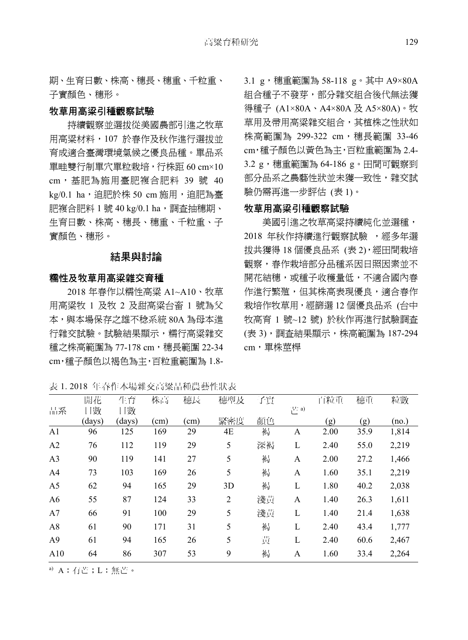期、生育日數、株高、穗長、穗重、千粒重、 子實顏色、穗形。

#### 牧草用高粱引種觀察試驗

持續觀察並選拔從美國農部引進之牧草 用高粱材料,107 於春作及秋作進行選拔並 育成適合臺灣環境氣候之優良品種。單品系 單畦雙行制單穴單粒栽培,行株距 60 cm×10 cm,基肥為施用臺肥複合肥料 39 號 40 kg/0.1 ha,這肥於株 50 cm 施用,追肥為臺 肥複合肥料 1號 40 kg/0.1 ha,調查抽穗期、 生育日數、株高、穗長、穗重、千粒重、子 實顏色、穗形。

#### 結果與討論

#### 糯性及牧草用高粱雜交育種

2018 年春作以糯性高粱 A1~A10、牧草 用高粱牧 1 及牧 2 及甜高粱台畜 1 號為父 本,與本場保存之雄不稔系統 80A 為母本進 行雜交試驗。試驗結果顯示,糯行高粱雜交 種之株高範圍為 77-178 cm, 穗長範圍 22-34 cm,種子顏色以褐色為主,百粒重範圍為 1.8-

表 1. 2018 年春作本場雜交高粱品種農藝性狀表

3.1 g, 穗重範圍為 58-118 g。其中 A9×80A 組合種子不發芽,部分雜交組合後代無法獲 得種子 (A1×80A、A4×80A及 A5×80A)。牧 草用及帚用高粱雜交組合,其植株之性狀如 株高範圍為 299-322 cm, 穗長範圍 33-46 cm,種子顏色以黃色為主,百粒重範圍為 2.4- 3.2 g, 穗重範圍為 64-186 g。田間可觀察到 部分品系之農藝性狀並未獲一致性,雜交試 驗仍需再進一步評估 (表 1)。

#### 牧草用高粱引種觀察試驗

美國引進之牧草高粱持續純化並選種, 2018 年秋作持續進行觀察試驗 ,經多年選 拔共獲得 18 個優良品系 (表 2),經田間栽培 觀察,春作栽培部分品種系因日照因素並不 開花結穗,或種子收穫量低,不適合國內春 作進行繁殖,但其株高表現優良,適合春作 栽培作牧草用,經篩選 12 個優良品系 (台中 牧高育 1 號~12 號) 於秋作再進行試驗調查 (表 3),調查結果顯示,株高範圍為 187-294 cm,單株莖桿

|                | 開花     | 生育     | 株高            | 穗長   | 穗型及 | 子實 |      | 百粒重  | 穗重   | 粒數    |
|----------------|--------|--------|---------------|------|-----|----|------|------|------|-------|
| 品系             | 日數     | 日數     |               |      |     |    | 芒 a) |      |      |       |
|                | (days) | (days) | $\text{cm}$ ) | (cm) | 緊密度 | 顏色 |      | (g)  | (g)  | (no.) |
| A1             | 96     | 125    | 169           | 29   | 4Ε  | 褐  | A    | 2.00 | 35.9 | 1,814 |
| A <sub>2</sub> | 76     | 112    | 119           | 29   | 5   | 深褐 | L    | 2.40 | 55.0 | 2,219 |
| A <sub>3</sub> | 90     | 119    | 141           | 27   | 5   | 褐  | A    | 2.00 | 27.2 | 1,466 |
| A <sub>4</sub> | 73     | 103    | 169           | 26   | 5   | 褐  | A    | 1.60 | 35.1 | 2,219 |
| A <sub>5</sub> | 62     | 94     | 165           | 29   | 3D  | 褐  | L    | 1.80 | 40.2 | 2,038 |
| A6             | 55     | 87     | 124           | 33   | 2   | 淺黃 | A    | 1.40 | 26.3 | 1,611 |
| A7             | 66     | 91     | 100           | 29   | 5   | 淺黃 | L    | 1.40 | 21.4 | 1,638 |
| A8             | 61     | 90     | 171           | 31   | 5   | 褐  | L    | 2.40 | 43.4 | 1,777 |
| A <sup>9</sup> | 61     | 94     | 165           | 26   | 5   | 黃  | L    | 2.40 | 60.6 | 2,467 |
| A10            | 64     | 86     | 307           | 53   | 9   | 褐  | A    | 1.60 | 33.4 | 2,264 |

a) A:有芒;L:無芒。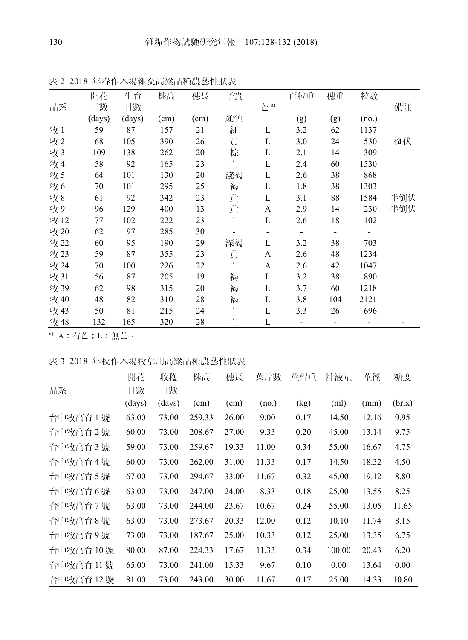|      | 開花     | 生育     | 株高   | 穗長   | 子實                       |                          | 百粒重            | 穗重  | 粒數    |     |
|------|--------|--------|------|------|--------------------------|--------------------------|----------------|-----|-------|-----|
| 品系   | 日數     | 日數     |      |      |                          | 芒 <sup>a)</sup>          |                |     |       | 備註  |
|      | (days) | (days) | (cm) | (cm) | 顏色                       |                          | (g)            | (g) | (no.) |     |
| 牧1   | 59     | 87     | 157  | 21   | 紅                        | L                        | 3.2            | 62  | 1137  |     |
| 牧2   | 68     | 105    | 390  | 26   | 黃                        | L                        | 3.0            | 24  | 530   | 倒伏  |
| 牧3   | 109    | 138    | 262  | 20   | 棕                        | L                        | 2.1            | 14  | 309   |     |
| 牧4   | 58     | 92     | 165  | 23   | 白                        | L                        | 2.4            | 60  | 1530  |     |
| 牧5   | 64     | 101    | 130  | 20   | 淺褐                       | L                        | 2.6            | 38  | 868   |     |
| 牧6   | 70     | 101    | 295  | 25   | 褐                        | L                        | 1.8            | 38  | 1303  |     |
| 牧8   | 61     | 92     | 342  | 23   | 黃                        | L                        | 3.1            | 88  | 1584  | 半倒伏 |
| 牧9   | 96     | 129    | 400  | 13   | 黃                        | A                        | 2.9            | 14  | 230   | 半倒伏 |
| 牧12  | 77     | 102    | 222  | 23   | 白                        | L                        | 2.6            | 18  | 102   |     |
| 牧 20 | 62     | 97     | 285  | 30   | $\overline{\phantom{0}}$ | $\overline{\phantom{a}}$ | $\blacksquare$ |     |       |     |
| 牧 22 | 60     | 95     | 190  | 29   | 深褐                       | L                        | 3.2            | 38  | 703   |     |
| 牧 23 | 59     | 87     | 355  | 23   | 黃                        | A                        | 2.6            | 48  | 1234  |     |
| 牧 24 | 70     | 100    | 226  | 22   | 白                        | A                        | 2.6            | 42  | 1047  |     |
| 牧 31 | 56     | 87     | 205  | 19   | 褐                        | L                        | 3.2            | 38  | 890   |     |
| 牧 39 | 62     | 98     | 315  | 20   | 褐                        | L                        | 3.7            | 60  | 1218  |     |
| 牧 40 | 48     | 82     | 310  | 28   | 褐                        | L                        | 3.8            | 104 | 2121  |     |
| 牧 43 | 50     | 81     | 215  | 24   | 白                        | L                        | 3.3            | 26  | 696   |     |
| 牧 48 | 132    | 165    | 320  | 28   | 白                        | L                        |                |     |       |     |

表 2. 2018 年春作本場雜交高粱品種農藝性狀表

a) A:有芒;L:無芒。

表 3. 2018 年秋作本場牧草用高粱品種農藝性狀表

|            | 開花     | 收穫     | 株高     | 穗長    | 葉片數   | 莖桿重  | 汁液量    | 莖徑    | 糖度     |
|------------|--------|--------|--------|-------|-------|------|--------|-------|--------|
| 品系         | 日數     | 日數     |        |       |       |      |        |       |        |
|            | (days) | (days) | (cm)   | (cm)  | (no.) | (kg) | (ml)   | (mm)  | (brix) |
| 台中牧高育 1 號  | 63.00  | 73.00  | 259.33 | 26.00 | 9.00  | 0.17 | 14.50  | 12.16 | 9.95   |
| 台中牧高育2號    | 60.00  | 73.00  | 208.67 | 27.00 | 9.33  | 0.20 | 45.00  | 13.14 | 9.75   |
| 台中牧高育3號    | 59.00  | 73.00  | 259.67 | 19.33 | 11.00 | 0.34 | 55.00  | 16.67 | 4.75   |
| 台中牧高育4號    | 60.00  | 73.00  | 262.00 | 31.00 | 11.33 | 0.17 | 14.50  | 18.32 | 4.50   |
| 台中牧高育 5 號  | 67.00  | 73.00  | 294.67 | 33.00 | 11.67 | 0.32 | 45.00  | 19.12 | 8.80   |
| 台中牧高育6號    | 63.00  | 73.00  | 247.00 | 24.00 | 8.33  | 0.18 | 25.00  | 13.55 | 8.25   |
| 台中牧高育7號    | 63.00  | 73.00  | 244.00 | 23.67 | 10.67 | 0.24 | 55.00  | 13.05 | 11.65  |
| 台中牧高育8號    | 63.00  | 73.00  | 273.67 | 20.33 | 12.00 | 0.12 | 10.10  | 11.74 | 8.15   |
| 台中牧高育9號    | 73.00  | 73.00  | 187.67 | 25.00 | 10.33 | 0.12 | 25.00  | 13.35 | 6.75   |
| 台中牧高育 10 號 | 80.00  | 87.00  | 224.33 | 17.67 | 11.33 | 0.34 | 100.00 | 20.43 | 6.20   |
| 台中牧高育 11 號 | 65.00  | 73.00  | 241.00 | 15.33 | 9.67  | 0.10 | 0.00   | 13.64 | 0.00   |
| 台中牧高育 12 號 | 81.00  | 73.00  | 243.00 | 30.00 | 11.67 | 0.17 | 25.00  | 14.33 | 10.80  |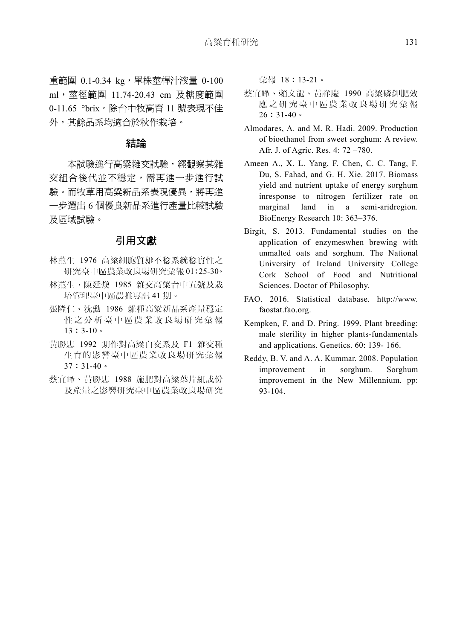重範圍 0.1-0.34 kg, 單株莖桿汁液量 0-100 ml, 莖徑範圍 11.74-20.43 cm 及糖度範圍 0-11.65 °brix。除台中牧高育 11 號表現不佳 外,其餘品系均適合於秋作栽培。

## 結論

本試驗進行高粱雜交試驗,經觀察其雜 交組合後代並不穩定,需再進一步進行試 驗。而牧草用高粱新品系表現優異,將再進 一步選出 6 個優良新品系進行產量比較試驗 及區域試驗。

#### 引用文獻

- 林薰生 1976 高粱細胞質雄不稔系統稔實性之 研究臺中區農業改良場研究彙報 01:25-30。
- 林薰生、陳廷煥 1985 雜交高粱台中五號及栽 培管理臺中區農推專訊 41 期。
- 張隆仁、沈勳 1986 雜種高粱新品系產量穩定 性之分析臺中區農業改良場研究彙報 13:3-10。
- 黃勝忠 1992 期作對高粱自交系及 F1 雜交種 生育的影響臺中區農業改良場研究彙報 37:31-40。
- 蔡宜峰、黃勝忠 1988 施肥對高粱葉片組成份 及產量之影響研究臺中區農業改良場研究

彙報 18:13-21。

- 蔡宜峰、賴文龍、黃祥慶 1990 高粱磷鉀肥效 應之研究臺中區農業改良場研究彙報  $26:31-40$
- Almodares, A. and M. R. Hadi. 2009. Production of bioethanol from sweet sorghum: A review. Afr. J. of Agric. Res. 4: 72 –780.
- Ameen A., X. L. Yang, F. Chen, C. C. Tang, F. Du, S. Fahad, and G. H. Xie. 2017. Biomass yield and nutrient uptake of energy sorghum inresponse to nitrogen fertilizer rate on marginal land in a semi-aridregion. BioEnergy Research 10: 363–376.
- Birgit, S. 2013. Fundamental studies on the application of enzymeswhen brewing with unmalted oats and sorghum. The National University of Ireland University College Cork School of Food and Nutritional Sciences. Doctor of Philosophy.
- FAO. 2016. Statistical database. http://www. faostat.fao.org.
- Kempken, F. and D. Pring. 1999. Plant breeding: male sterility in higher plants-fundamentals and applications. Genetics. 60: 139- 166.
- Reddy, B. V. and A. A. Kummar. 2008. Population improvement in sorghum. Sorghum improvement in the New Millennium. pp: 93-104.